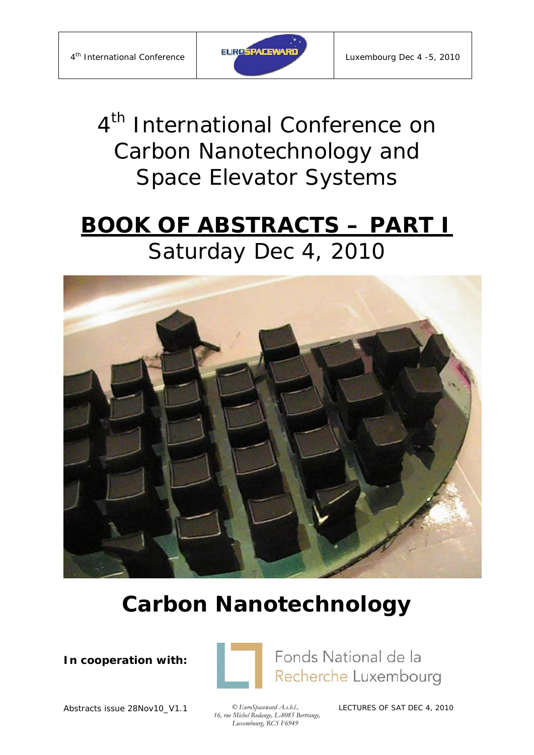

*4th International Conference on Carbon Nanotechnology and Space Elevator Systems*

# **BOOK OF ABSTRACTS – PART I** Saturday Dec 4, 2010



# **Carbon Nanotechnology**

**In cooperation with:** 



Fonds National de la Recherche Luxembourg

Abstracts issue 28Nov10\_V1.1 *© EuroSpaceward A.s.b.l.,* 

 *16, rue Michel Rodange, L-8085 Bertrange, Luxembourg, RCS F6949*

LECTURES OF SAT DEC 4, 2010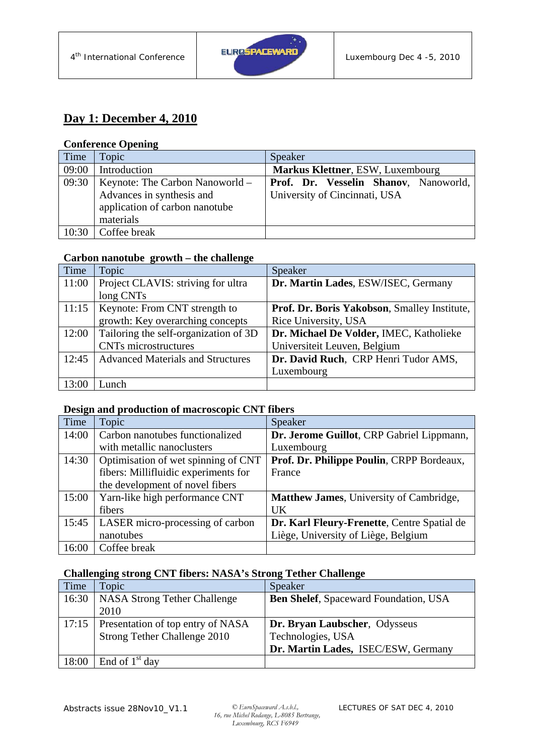

### **Day 1: December 4, 2010**

#### **Conference Opening**

| Time  | Topic                           | Speaker                               |
|-------|---------------------------------|---------------------------------------|
| 09:00 | Introduction                    | Markus Klettner, ESW, Luxembourg      |
| 09:30 | Keynote: The Carbon Nanoworld – | Prof. Dr. Vesselin Shanov, Nanoworld, |
|       | Advances in synthesis and       | University of Cincinnati, USA         |
|       | application of carbon nanotube  |                                       |
|       | materials                       |                                       |
| 10:30 | Coffee break                    |                                       |

#### **Carbon nanotube growth – the challenge**

| Time  | Topic                                    | Speaker                                      |
|-------|------------------------------------------|----------------------------------------------|
| 11:00 | Project CLAVIS: striving for ultra       | Dr. Martin Lades, ESW/ISEC, Germany          |
|       | long CNTs                                |                                              |
| 11:15 | Keynote: From CNT strength to            | Prof. Dr. Boris Yakobson, Smalley Institute, |
|       | growth: Key overarching concepts         | Rice University, USA                         |
| 12:00 | Tailoring the self-organization of 3D    | Dr. Michael De Volder, IMEC, Katholieke      |
|       | <b>CNTs</b> microstructures              | Universiteit Leuven, Belgium                 |
| 12:45 | <b>Advanced Materials and Structures</b> | Dr. David Ruch, CRP Henri Tudor AMS,         |
|       |                                          | Luxembourg                                   |
| 13:00 | Lunch                                    |                                              |

#### **Design and production of macroscopic CNT fibers**

| Time  | Topic                                | Speaker                                     |
|-------|--------------------------------------|---------------------------------------------|
| 14:00 | Carbon nanotubes functionalized      | Dr. Jerome Guillot, CRP Gabriel Lippmann,   |
|       | with metallic nanoclusters           | Luxembourg                                  |
| 14:30 | Optimisation of wet spinning of CNT  | Prof. Dr. Philippe Poulin, CRPP Bordeaux,   |
|       | fibers: Millifluidic experiments for | France                                      |
|       | the development of novel fibers      |                                             |
| 15:00 | Yarn-like high performance CNT       | Matthew James, University of Cambridge,     |
|       | fibers                               | <b>UK</b>                                   |
| 15:45 | LASER micro-processing of carbon     | Dr. Karl Fleury-Frenette, Centre Spatial de |
|       | nanotubes                            | Liège, University of Liège, Belgium         |
| 16:00 | Coffee break                         |                                             |

#### **Challenging strong CNT fibers: NASA's Strong Tether Challenge**

| Time  | Topic                                     | Speaker                                      |
|-------|-------------------------------------------|----------------------------------------------|
|       | 16:30   NASA Strong Tether Challenge      | <b>Ben Shelef, Spaceward Foundation, USA</b> |
|       | 2010                                      |                                              |
|       | 17:15   Presentation of top entry of NASA | Dr. Bryan Laubscher, Odysseus                |
|       | Strong Tether Challenge 2010              | Technologies, USA                            |
|       |                                           | Dr. Martin Lades, ISEC/ESW, Germany          |
| 18:00 | $\vert$ End of 1 <sup>st</sup> day        |                                              |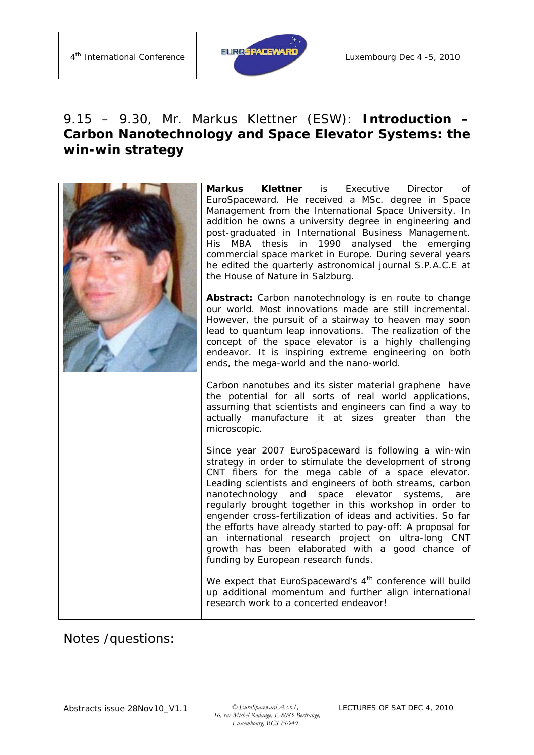

# 9.15 – 9.30, Mr. Markus Klettner (ESW): *Introduction – Carbon Nanotechnology and Space Elevator Systems: the win-win strategy*

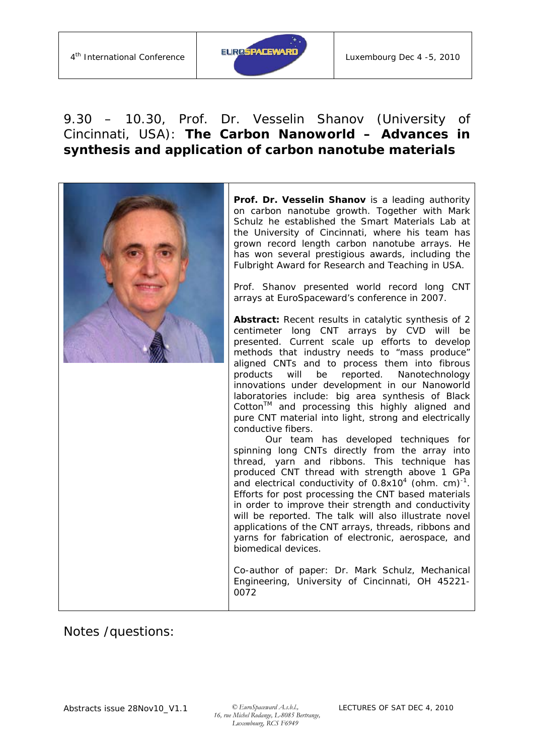

# 9.30 – 10.30, Prof. Dr. Vesselin Shanov (University of Cincinnati, USA): *The Carbon Nanoworld – Advances in synthesis and application of carbon nanotube materials*

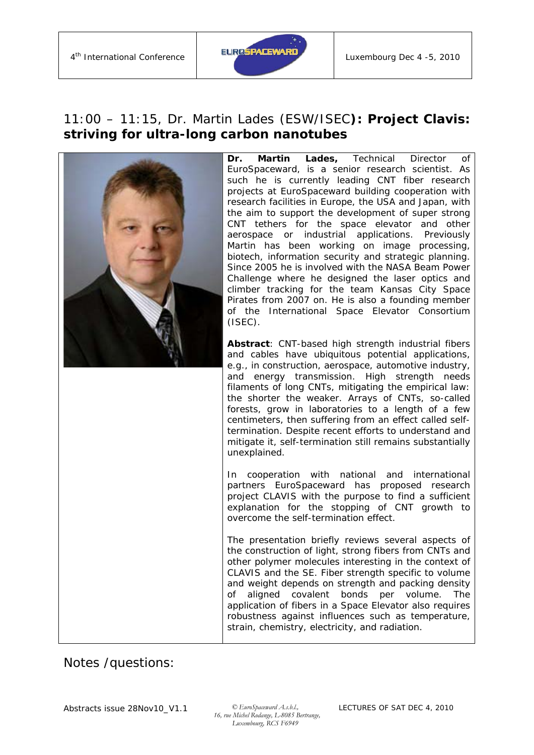

## 11:00 – 11:15, Dr. Martin Lades (ESW/ISEC*): Project Clavis: striving for ultra-long carbon nanotubes*

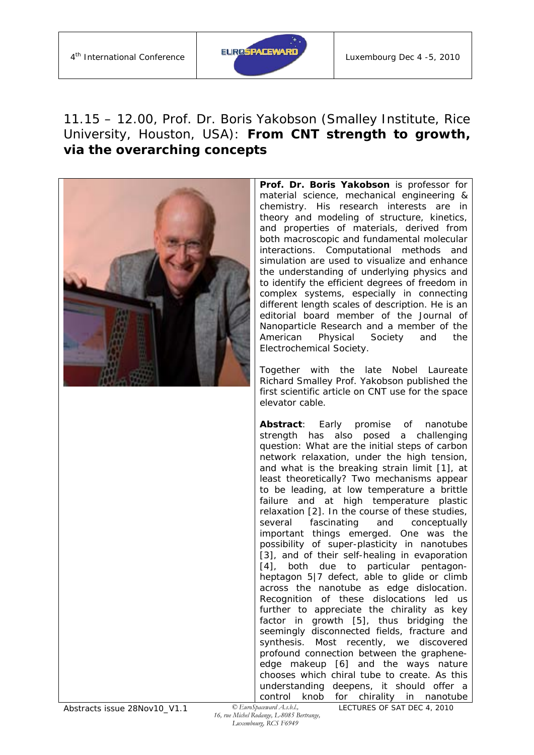

## 11.15 – 12.00, Prof. Dr. Boris Yakobson (Smalley Institute, Rice University, Houston, USA): *From CNT strength to growth, via the overarching concepts*



**Prof. Dr. Boris Yakobson** is professor for material science, mechanical engineering & chemistry. His research interests are in theory and modeling of structure, kinetics, and properties of materials, derived from both macroscopic and fundamental molecular interactions. Computational methods and simulation are used to visualize and enhance the understanding of underlying physics and to identify the efficient degrees of freedom in complex systems, especially in connecting different length scales of description. He is an editorial board member of the Journal of Nanoparticle Research and a member of the American Physical Society and the Electrochemical Society.

Together with the late Nobel Laureate Richard Smalley Prof. Yakobson published the first scientific article on CNT use for the space elevator cable.

**Abstract**: Early promise of nanotube strength has also posed a challenging question: What are the initial steps of carbon network relaxation, under the high tension, and what is the breaking strain limit [1], at least theoretically? Two mechanisms appear to be leading, at low temperature a brittle failure and at high temperature plastic relaxation [2]. In the course of these studies, several fascinating and conceptually important things emerged. One was the possibility of super-plasticity in nanotubes [3], and of their self-healing in evaporation [4], both due to particular pentagonheptagon 5|7 defect, able to glide or climb across the nanotube as edge dislocation. Recognition of these dislocations led us further to appreciate the chirality as key factor in growth [5], thus bridging the seemingly disconnected fields, fracture and synthesis. Most recently, we discovered profound connection between the grapheneedge makeup [6] and the ways nature chooses which chiral tube to create. As this understanding deepens, it should offer a control knob for chirality in nanotube

LECTURES OF SAT DEC 4, 2010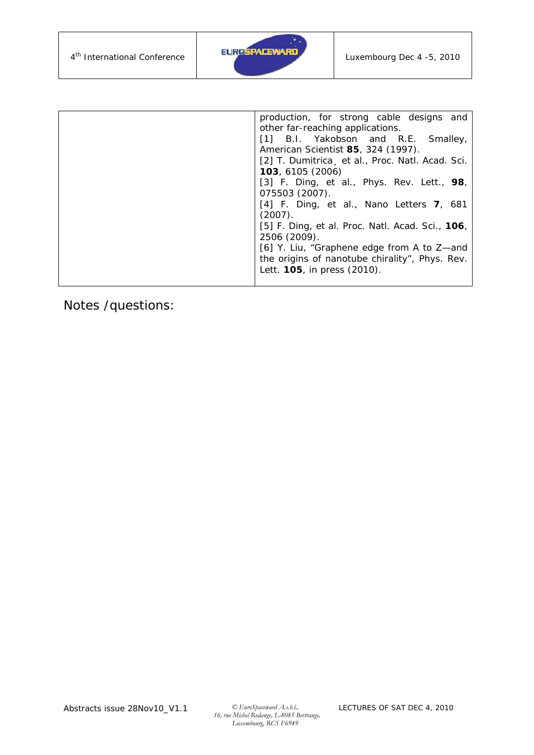

| production, for strong cable designs and                   |
|------------------------------------------------------------|
| other far-reaching applications.                           |
| [1] B.I. Yakobson and R.E. Smalley,                        |
| American Scientist 85, 324 (1997).                         |
| [2] T. Dumitrica et al., Proc. Natl. Acad. Sci.            |
| 103, 6105 (2006)                                           |
| [3] F. Ding, et al., <i>Phys. Rev. Lett.</i> , <b>98</b> , |
| 075503 (2007).                                             |
| [4] F. Ding, et al., Nano Letters $7,681$                  |
| (2007).                                                    |
| [5] F. Ding, et al. Proc. Natl. Acad. Sci., 106,           |
| 2506 (2009).                                               |
| [6] Y. Liu, "Graphene edge from A to Z—and                 |
| the origins of nanotube chirality", Phys. Rev.             |
|                                                            |
|                                                            |
| Lett. <b>105</b> , in press (2010).                        |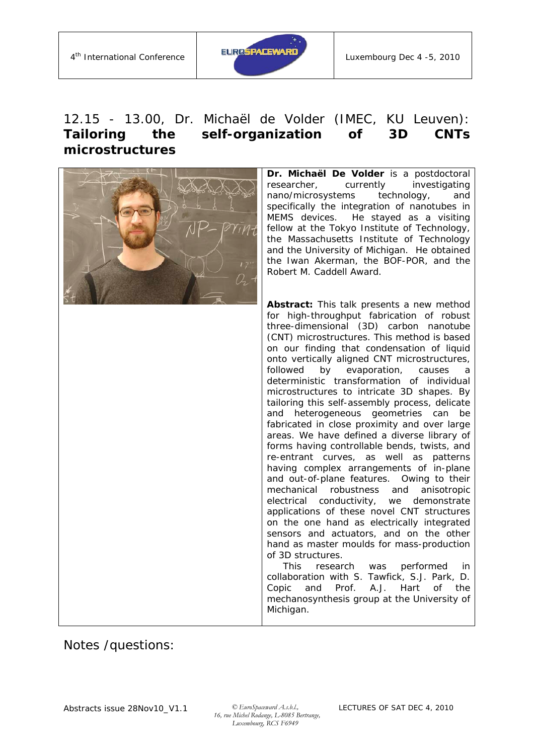

# 12.15 - 13.00, Dr. Michaël de Volder (IMEC, KU Leuven): *Tailoring the self-organization of 3D CNTs microstructures*

| Dr. Michaël De Volder is a postdoctoral<br>investigating<br>researcher,<br>currently<br>nano/microsystems<br>technology,<br>and<br>specifically the integration of nanotubes in<br>MEMS devices. He stayed as a visiting<br>fellow at the Tokyo Institute of Technology,<br>the Massachusetts Institute of Technology<br>and the University of Michigan. He obtained<br>the Iwan Akerman, the BOF-POR, and the<br>Robert M. Caddell Award.                                                                                                                                                                                                                                                                                                                                                                                                                                                                                                                                                                                                                                                                                                                                                                                                                                                                                 |
|----------------------------------------------------------------------------------------------------------------------------------------------------------------------------------------------------------------------------------------------------------------------------------------------------------------------------------------------------------------------------------------------------------------------------------------------------------------------------------------------------------------------------------------------------------------------------------------------------------------------------------------------------------------------------------------------------------------------------------------------------------------------------------------------------------------------------------------------------------------------------------------------------------------------------------------------------------------------------------------------------------------------------------------------------------------------------------------------------------------------------------------------------------------------------------------------------------------------------------------------------------------------------------------------------------------------------|
| Abstract: This talk presents a new method<br>for high-throughput fabrication of robust<br>three-dimensional (3D) carbon nanotube<br>(CNT) microstructures. This method is based<br>on our finding that condensation of liquid<br>onto vertically aligned CNT microstructures,<br>followed<br>evaporation,<br>by<br>causes<br>a<br>deterministic transformation of individual<br>microstructures to intricate 3D shapes. By<br>tailoring this self-assembly process, delicate<br>geometries can<br>heterogeneous<br>and<br>be<br>fabricated in close proximity and over large<br>areas. We have defined a diverse library of<br>forms having controllable bends, twists, and<br>re-entrant curves, as well as patterns<br>having complex arrangements of in-plane<br>and out-of-plane features. Owing to their<br>mechanical robustness<br>and<br>anisotropic<br>electrical conductivity, we demonstrate<br>applications of these novel CNT structures<br>on the one hand as electrically integrated<br>sensors and actuators, and on the other<br>hand as master moulds for mass-production<br>of 3D structures.<br>This<br>research was<br>performed<br>in<br>collaboration with S. Tawfick, S.J. Park, D.<br>Prof.<br>A.J. Hart<br>Copic<br>and<br>0f<br>the<br>mechanosynthesis group at the University of<br>Michigan. |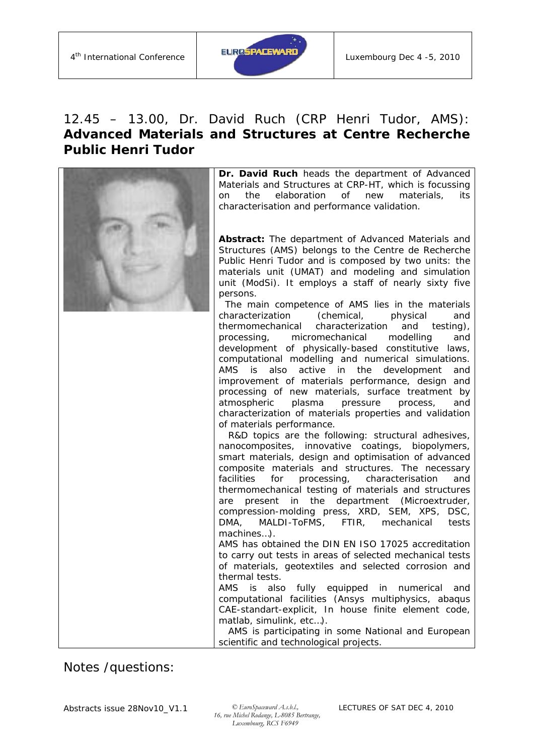

# 12.45 – 13.00, Dr. David Ruch (CRP Henri Tudor, AMS): *Advanced Materials and Structures at Centre Recherche Public Henri Tudor*

| Dr. David Ruch heads the department of Advanced<br>Materials and Structures at CRP-HT, which is focussing<br>the<br>elaboration<br>of<br>materials,<br>its<br>new<br>on<br>characterisation and performance validation.                                                                                                                                                                                                                                                                                                                                                                                                                                                                                                                                                                                                                                                                                                                                                                                                                                                                                                                                                                                                                                                                                                                                                                                                                                                                                                                                                                                                                                                     |
|-----------------------------------------------------------------------------------------------------------------------------------------------------------------------------------------------------------------------------------------------------------------------------------------------------------------------------------------------------------------------------------------------------------------------------------------------------------------------------------------------------------------------------------------------------------------------------------------------------------------------------------------------------------------------------------------------------------------------------------------------------------------------------------------------------------------------------------------------------------------------------------------------------------------------------------------------------------------------------------------------------------------------------------------------------------------------------------------------------------------------------------------------------------------------------------------------------------------------------------------------------------------------------------------------------------------------------------------------------------------------------------------------------------------------------------------------------------------------------------------------------------------------------------------------------------------------------------------------------------------------------------------------------------------------------|
| Abstract: The department of Advanced Materials and<br>Structures (AMS) belongs to the Centre de Recherche<br>Public Henri Tudor and is composed by two units: the<br>materials unit (UMAT) and modeling and simulation<br>unit (ModSi). It employs a staff of nearly sixty five<br>persons.                                                                                                                                                                                                                                                                                                                                                                                                                                                                                                                                                                                                                                                                                                                                                                                                                                                                                                                                                                                                                                                                                                                                                                                                                                                                                                                                                                                 |
| The main competence of AMS lies in the materials<br>characterization (chemical,<br>physical<br>and<br>thermomechanical characterization<br>and<br>testing),<br>processing,<br>micromechanical modelling<br>and<br>development of physically-based constitutive laws,<br>computational modelling and numerical simulations.<br>AMS is<br>also<br>active in the<br>development<br>and<br>improvement of materials performance, design and<br>processing of new materials, surface treatment by<br>plasma<br>pressure<br>atmospheric<br>process,<br>and<br>characterization of materials properties and validation<br>of materials performance.<br>R&D topics are the following: structural adhesives,<br>nanocomposites, innovative coatings, biopolymers,<br>smart materials, design and optimisation of advanced<br>composite materials and structures. The necessary<br>facilities<br>processing,<br>for<br>characterisation<br>and<br>thermomechanical testing of materials and structures<br>present<br>in the<br>department (Microextruder,<br>are<br>compression-molding press, XRD, SEM, XPS, DSC,<br>MALDI-ToFMS, FTIR, mechanical<br>DMA,<br>tests<br>machines).<br>AMS has obtained the DIN EN ISO 17025 accreditation<br>to carry out tests in areas of selected mechanical tests<br>of materials, geotextiles and selected corrosion and<br>thermal tests.<br>AMS<br>is<br>also fully equipped<br>in numerical<br>and<br>computational facilities (Ansys multiphysics, abaqus<br>CAE-standart-explicit, In house finite element code,<br>matlab, simulink, etc).<br>AMS is participating in some National and European<br>scientific and technological projects. |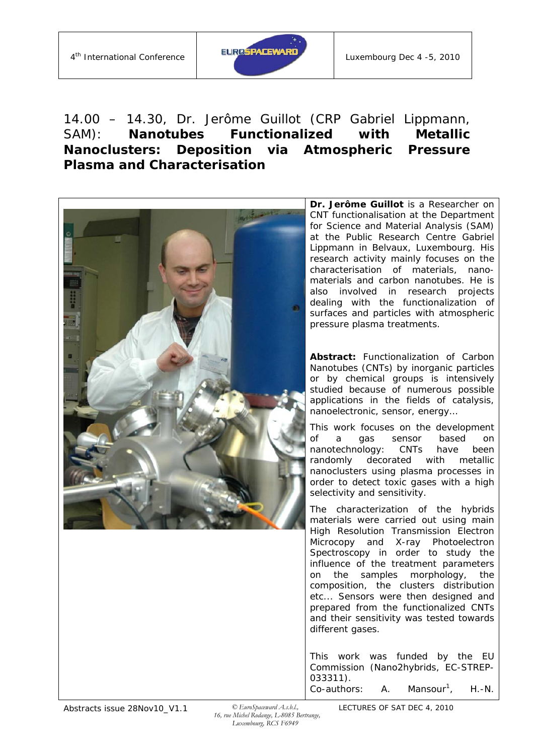

# 14.00 – 14.30, Dr. Jerôme Guillot (CRP Gabriel Lippmann, SAM): *Nanotubes Functionalized with Metallic Nanoclusters: Deposition via Atmospheric Pressure Plasma and Characterisation*



 *16, rue Michel Rodange, L-8085 Bertrange, Luxembourg, RCS F6949*

LECTURES OF SAT DEC 4, 2010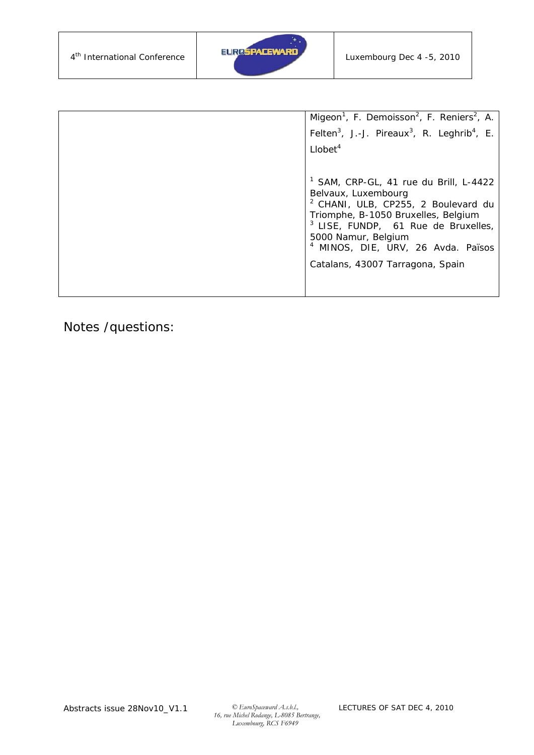

| Migeon <sup>1</sup> , F. Demoisson <sup>2</sup> , F. Reniers <sup>2</sup> , A.<br>Felten <sup>3</sup> , J.-J. Pireaux <sup>3</sup> , R. Leghrib <sup>4</sup> , E.<br>Llobet <sup>4</sup>                                                                                                                                        |
|---------------------------------------------------------------------------------------------------------------------------------------------------------------------------------------------------------------------------------------------------------------------------------------------------------------------------------|
| <sup>1</sup> SAM, CRP-GL, 41 rue du Brill, L-4422<br>Belvaux, Luxembourg<br><sup>2</sup> CHANI, ULB, CP255, 2 Boulevard du<br>Triomphe, B-1050 Bruxelles, Belgium<br><sup>3</sup> LISE, FUNDP, 61 Rue de Bruxelles,<br>5000 Namur, Belgium<br><sup>4</sup> MINOS, DIE, URV, 26 Avda. Països<br>Catalans, 43007 Tarragona, Spain |
|                                                                                                                                                                                                                                                                                                                                 |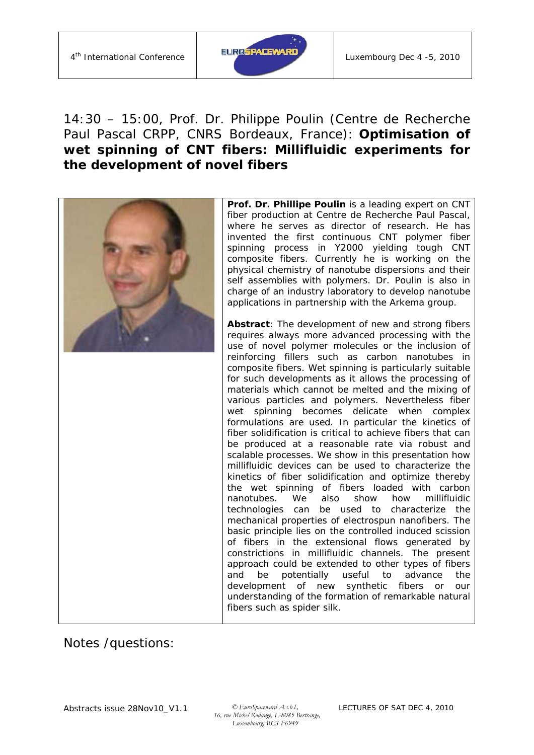

## 14:30 – 15:00, Prof. Dr. Philippe Poulin (Centre de Recherche Paul Pascal CRPP, CNRS Bordeaux, France): *Optimisation of wet spinning of CNT fibers: Millifluidic experiments for the development of novel fibers*

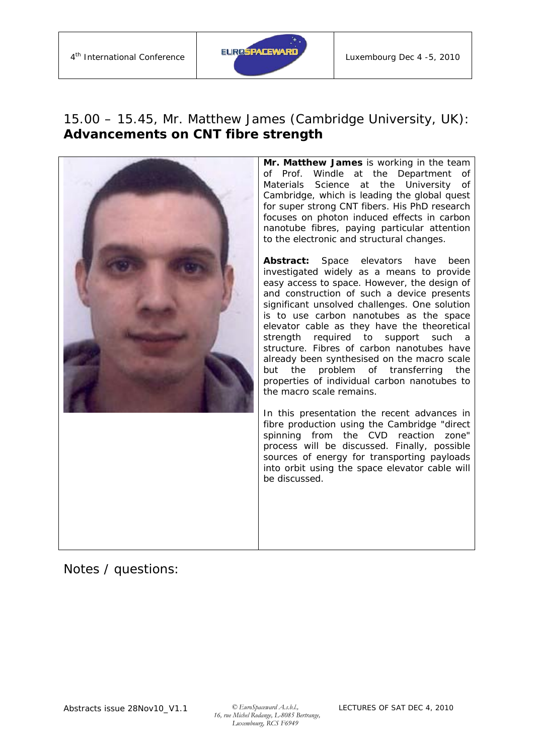

#### 15.00 – 15.45, Mr. Matthew James (Cambridge University, UK): *Advancements on CNT fibre strength*



**Mr. Matthew James** is working in the team of Prof. Windle at the Department of Materials Science at the University of Cambridge, which is leading the global quest for super strong CNT fibers. His PhD research focuses on photon induced effects in carbon nanotube fibres, paying particular attention to the electronic and structural changes.

**Abstract:** Space elevators have been investigated widely as a means to provide easy access to space. However, the design of and construction of such a device presents significant unsolved challenges. One solution is to use carbon nanotubes as the space elevator cable as they have the theoretical strength required to support such a structure. Fibres of carbon nanotubes have already been synthesised on the macro scale but the problem of transferring the properties of individual carbon nanotubes to the macro scale remains.

In this presentation the recent advances in fibre production using the Cambridge "direct spinning from the CVD reaction zone" process will be discussed. Finally, possible sources of energy for transporting payloads into orbit using the space elevator cable will be discussed.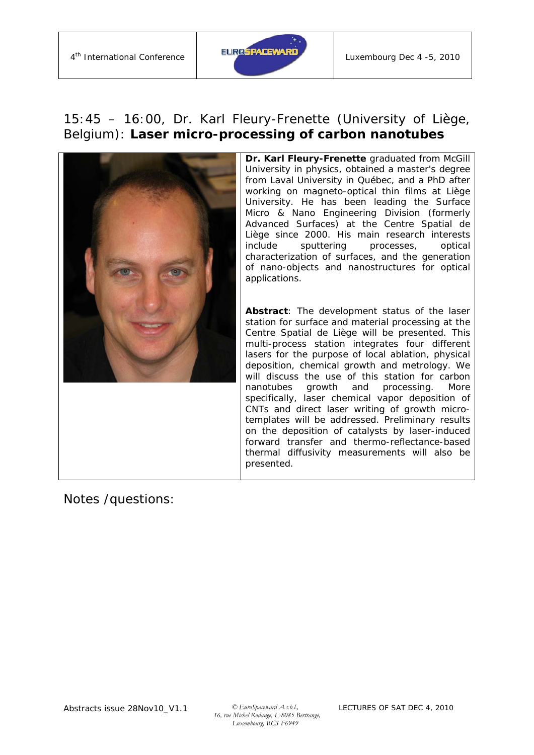

#### 15:45 – 16:00, Dr. Karl Fleury-Frenette (University of Liège, Belgium): *Laser micro-processing of carbon nanotubes*



**Dr. Karl Fleury-Frenette graduated from McGill** University in physics, obtained a master's degree from Laval University in Québec, and a PhD after working on magneto-optical thin films at Liège University. He has been leading the Surface Micro & Nano Engineering Division (formerly Advanced Surfaces*)* at the Centre Spatial de Liège since 2000. His main research interests include sputtering processes, optical characterization of surfaces, and the generation of nano-objects and nanostructures for optical applications.

**Abstract**: The development status of the laser station for surface and material processing at the Centre Spatial de Liège will be presented. This multi-process station integrates four different lasers for the purpose of local ablation, physical deposition, chemical growth and metrology. We will discuss the use of this station for carbon nanotubes growth and processing. More specifically, laser chemical vapor deposition of CNTs and direct laser writing of growth microtemplates will be addressed. Preliminary results on the deposition of catalysts by laser-induced forward transfer and thermo-reflectance-based thermal diffusivity measurements will also be presented.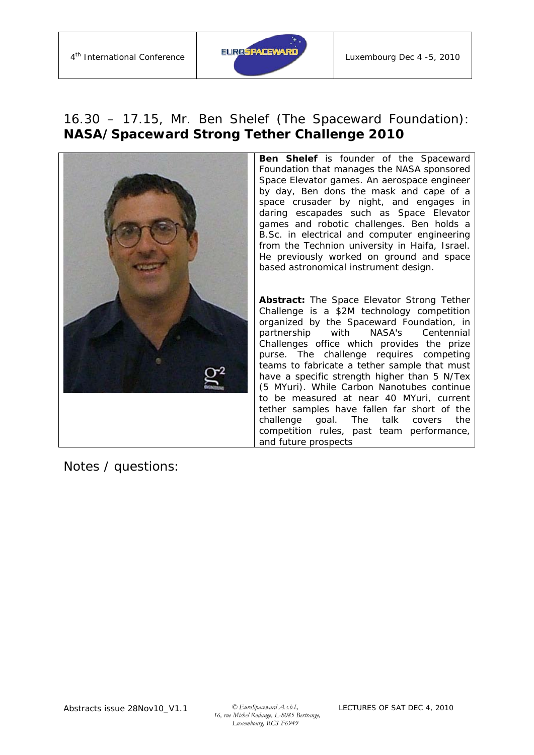

#### 16.30 – 17.15, Mr. Ben Shelef (The Spaceward Foundation): *NASA/Spaceward Strong Tether Challenge 2010*



**Ben Shelef** is founder of the Spaceward Foundation that manages the NASA sponsored Space Elevator games. An aerospace engineer by day, Ben dons the mask and cape of a space crusader by night, and engages in daring escapades such as Space Elevator games and robotic challenges. Ben holds a B.Sc. in electrical and computer engineering from the Technion university in Haifa, Israel. He previously worked on ground and space based astronomical instrument design.

**Abstract:** The Space Elevator Strong Tether Challenge is a \$2M technology competition organized by the Spaceward Foundation, in partnership with NASA's Centennial Challenges office which provides the prize purse. The challenge requires competing teams to fabricate a tether sample that must have a specific strength higher than 5 N/Tex (5 MYuri). While Carbon Nanotubes continue to be measured at near 40 MYuri, current tether samples have fallen far short of the challenge goal. The talk covers the competition rules, past team performance, and future prospects